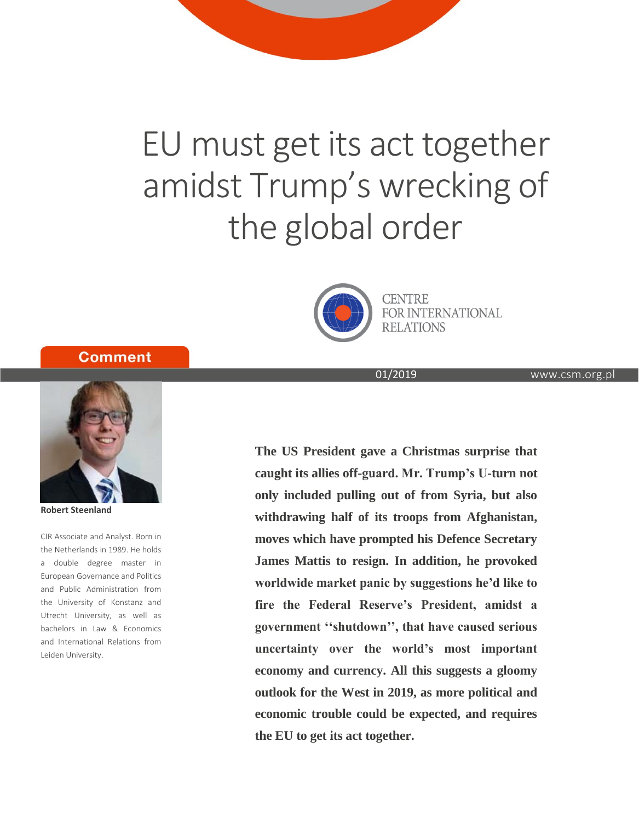# EU must get its act together amidst Trump's wrecking of the global order



**CENTRE** FOR INTERNATIONAL **RELATIONS** 

www.csm.org.pl

01/2019

**Comment** 



**Robert Steenland**

CIR Associate and Analyst. Born in the Netherlands in 1989. He holds a double degree master in European Governance and Politics and Public Administration from the University of Konstanz and Utrecht University, as well as bachelors in Law & Economics and International Relations from Leiden University.

**The US President gave a Christmas surprise that caught its allies off-guard. Mr. Trump's U-turn not only included pulling out of from Syria, but also withdrawing half of its troops from Afghanistan, moves which have prompted his Defence Secretary James Mattis to resign. In addition, he provoked worldwide market panic by suggestions he'd like to fire the Federal Reserve's President, amidst a government ''shutdown'', that have caused serious uncertainty over the world's most important economy and currency. All this suggests a gloomy outlook for the West in 2019, as more political and economic trouble could be expected, and requires the EU to get its act together.**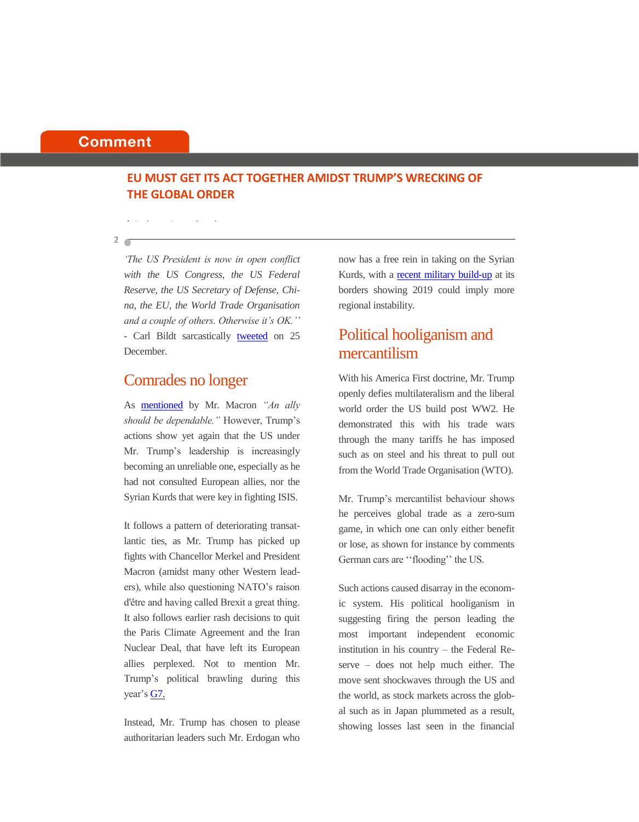#### **Comment**

## **EU MUST GET ITS ACT TOGETHER AMIDST TRUMP'S WRECKING OF THE GLOBAL ORDER**

**2**

*'The US President is now in open conflict with the US Congress, the US Federal Reserve, the US Secretary of Defense, China, the EU, the World Trade Organisation and a couple of others. Otherwise it's OK.''* - Carl Bildt sarcastically [tweeted](https://twitter.com/carlbildt/status/1077698736904724480) on 25 December.

## Comrades no longer

**| Robert Steenland**

As [mentioned](https://www.reuters.com/article/us-mideast-crisis-syria-macron/frances-macron-says-deeply-regrets-trump-decision-on-troops-in-syria-idUSKCN1OM0EL) by Mr. Macron *"An ally should be dependable."* However, Trump's actions show yet again that the US under Mr. Trump's leadership is increasingly becoming an unreliable one, especially as he had not consulted European allies, nor the Syrian Kurds that were key in fighting ISIS.

It follows a pattern of deteriorating transatlantic ties, as Mr. Trump has picked up fights with Chancellor Merkel and President Macron (amidst many other Western leaders), while also questioning NATO's raison d'être and having called Brexit a great thing. It also follows earlier rash decisions to quit the Paris Climate Agreement and the Iran Nuclear Deal, that have left its European allies perplexed. Not to mention Mr. Trump's political brawling during this year'[s G7.](https://www.theguardian.com/world/2018/jun/10/g7-in-disarray-after-trump-rejects-communique-and-attacks-weak-trudeau)

Instead, Mr. Trump has chosen to please authoritarian leaders such Mr. Erdogan who now has a free rein in taking on the Syrian Kurds, with a [recent military build-up](https://www.theguardian.com/world/2018/dec/23/turkey-masses-troops-near-kurdish-held-town-in-northern-syria) at its borders showing 2019 could imply more regional instability.

# Political hooliganism and mercantilism

With his America First doctrine, Mr. Trump openly defies multilateralism and the liberal world order the US build post WW2. He demonstrated this with his trade wars through the many tariffs he has imposed such as on steel and his threat to pull out from the World Trade Organisation (WTO).

Mr. Trump's mercantilist behaviour shows he perceives global trade as a zero-sum game, in which one can only either benefit or lose, as shown for instance by comments German cars are ''flooding'' the US.

Such actions caused disarray in the economic system. His political hooliganism in suggesting firing the person leading the most important independent economic institution in his country – the Federal Reserve – does not help much either. The move sent shockwaves through the US and the world, as stock markets across the global such as in Japan plummeted as a result, showing losses last seen in the financial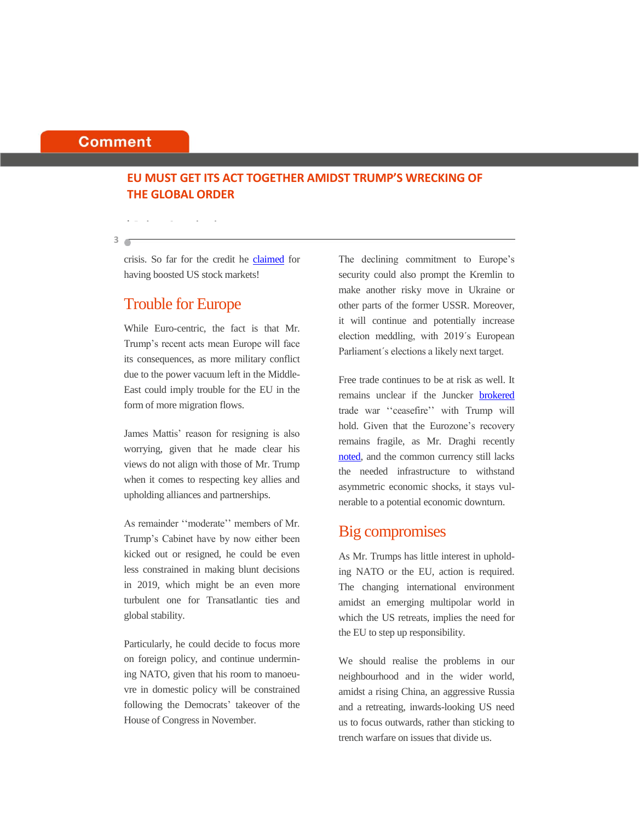### **Comment**

**3**

## **EU MUST GET ITS ACT TOGETHER AMIDST TRUMP'S WRECKING OF THE GLOBAL ORDER**

crisis. So far for the credit he [claimed](https://www.reuters.com/article/us-usa-election-stocks/two-years-in-trump-holds-stock-market-bragging-rights-idUSKCN1NB0GY) for having boosted US stock markets!

# Trouble for Europe

**| Robert Steenland**

While Euro-centric, the fact is that Mr. Trump's recent acts mean Europe will face its consequences, as more military conflict due to the power vacuum left in the Middle-East could imply trouble for the EU in the form of more migration flows.

James Mattis' reason for resigning is also worrying, given that he made clear his views do not align with those of Mr. Trump when it comes to respecting key allies and upholding alliances and partnerships.

As remainder ''moderate'' members of Mr. Trump's Cabinet have by now either been kicked out or resigned, he could be even less constrained in making blunt decisions in 2019, which might be an even more turbulent one for Transatlantic ties and global stability.

Particularly, he could decide to focus more on foreign policy, and continue undermining NATO, given that his room to manoeuvre in domestic policy will be constrained following the Democrats' takeover of the House of Congress in November.

The declining commitment to Europe's security could also prompt the Kremlin to make another risky move in Ukraine or other parts of the former USSR. Moreover, it will continue and potentially increase election meddling, with 2019´s European Parliament´s elections a likely next target.

Free trade continues to be at risk as well. It remains unclear if the Juncker [brokered](https://euobserver.com/economic/142469) trade war ''ceasefire'' with Trump will hold. Given that the Eurozone's recovery remains fragile, as Mr. Draghi recently [noted,](https://www.ecb.europa.eu/press/pressconf/2018/html/ecb.is181213.en.html) and the common currency still lacks the needed infrastructure to withstand asymmetric economic shocks, it stays vulnerable to a potential economic downturn.

# Big compromises

As Mr. Trumps has little interest in upholding NATO or the EU, action is required. The changing international environment amidst an emerging multipolar world in which the US retreats, implies the need for the EU to step up responsibility.

We should realise the problems in our neighbourhood and in the wider world, amidst a rising China, an aggressive Russia and a retreating, inwards-looking US need us to focus outwards, rather than sticking to trench warfare on issues that divide us.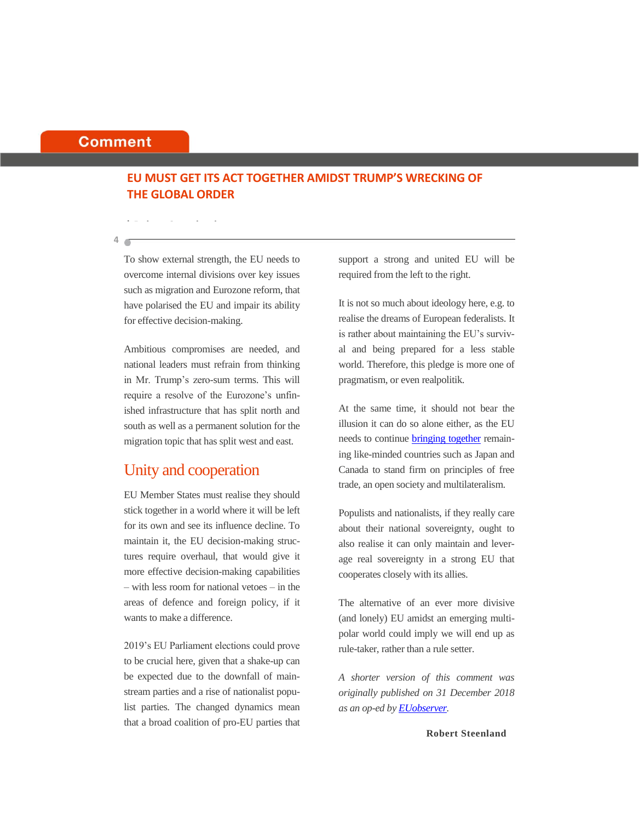### **Comment**

## **EU MUST GET ITS ACT TOGETHER AMIDST TRUMP'S WRECKING OF THE GLOBAL ORDER**

**4**

**| Robert Steenland**

To show external strength, the EU needs to overcome internal divisions over key issues such as migration and Eurozone reform, that have polarised the EU and impair its ability for effective decision-making.

Ambitious compromises are needed, and national leaders must refrain from thinking in Mr. Trump's zero-sum terms. This will require a resolve of the Eurozone's unfinished infrastructure that has split north and south as well as a permanent solution for the migration topic that has split west and east.

# Unity and cooperation

EU Member States must realise they should stick together in a world where it will be left for its own and see its influence decline. To maintain it, the EU decision-making structures require overhaul, that would give it more effective decision-making capabilities – with less room for national vetoes – in the areas of defence and foreign policy, if it wants to make a difference.

2019's EU Parliament elections could prove to be crucial here, given that a shake-up can be expected due to the downfall of mainstream parties and a rise of nationalist populist parties. The changed dynamics mean that a broad coalition of pro-EU parties that

support a strong and united EU will be required from the left to the right.

It is not so much about ideology here, e.g. to realise the dreams of European federalists. It is rather about maintaining the EU's survival and being prepared for a less stable world. Therefore, this pledge is more one of pragmatism, or even realpolitik.

At the same time, it should not bear the illusion it can do so alone either, as the EU needs to continue **bringing together** remaining like-minded countries such as Japan and Canada to stand firm on principles of free trade, an open society and multilateralism.

Populists and nationalists, if they really care about their national sovereignty, ought to also realise it can only maintain and leverage real sovereignty in a strong EU that cooperates closely with its allies.

The alternative of an ever more divisive (and lonely) EU amidst an emerging multipolar world could imply we will end up as rule-taker, rather than a rule setter.

*A shorter version of this comment was originally published on 31 December 2018 as an op-ed b[y EUobserver.](https://euobserver.com/opinion/143806)*

**Robert Steenland**